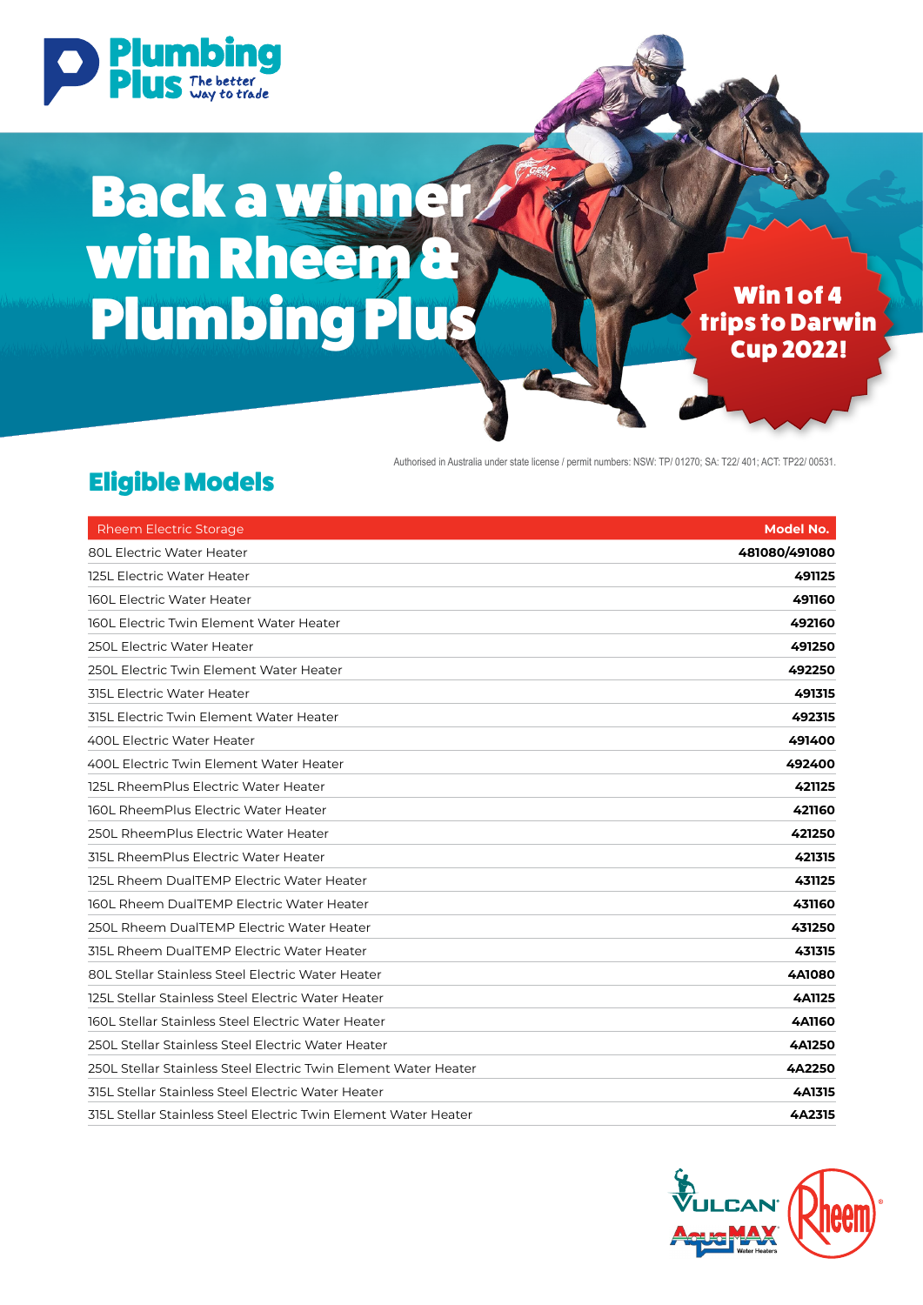

# Back a winner with Rheem<sup>a</sup> Plumbing Plus Win 1 of 4

trips to Darwin Cup 2022!

Authorised in Australia under state license / permit numbers: NSW: TP/ 01270; SA: T22/ 401; ACT: TP22/ 00531.

| <b>Rheem Electric Storage</b>                                   | <b>Model No.</b> |
|-----------------------------------------------------------------|------------------|
| <b>80L Electric Water Heater</b>                                | 481080/491080    |
| 125L Electric Water Heater                                      | 491125           |
| <b>160L Electric Water Heater</b>                               | 491160           |
| 160L Electric Twin Element Water Heater                         | 492160           |
| 250L Electric Water Heater                                      | 491250           |
| 250L Electric Twin Element Water Heater                         | 492250           |
| <b>315L Electric Water Heater</b>                               | 491315           |
| 315L Electric Twin Element Water Heater                         | 492315           |
| 400L Electric Water Heater                                      | 491400           |
| 400L Electric Twin Element Water Heater                         | 492400           |
| 125L RheemPlus Electric Water Heater                            | 421125           |
| 160L RheemPlus Electric Water Heater                            | 421160           |
| 250L RheemPlus Electric Water Heater                            | 421250           |
| 315L RheemPlus Electric Water Heater                            | 421315           |
| 125L Rheem DualTEMP Electric Water Heater                       | 431125           |
| 160L Rheem DualTEMP Electric Water Heater                       | 431160           |
| 250L Rheem DualTEMP Electric Water Heater                       | 431250           |
| 315L Rheem DualTEMP Electric Water Heater                       | 431315           |
| 80L Stellar Stainless Steel Electric Water Heater               | <b>4A1080</b>    |
| 125L Stellar Stainless Steel Electric Water Heater              | <b>4A1125</b>    |
| 160L Stellar Stainless Steel Electric Water Heater              | <b>4A1160</b>    |
| 250L Stellar Stainless Steel Electric Water Heater              | 4A1250           |
| 250L Stellar Stainless Steel Electric Twin Element Water Heater | 4A2250           |
| 315L Stellar Stainless Steel Electric Water Heater              | 4A1315           |
| 315L Stellar Stainless Steel Electric Twin Element Water Heater | 4A2315           |

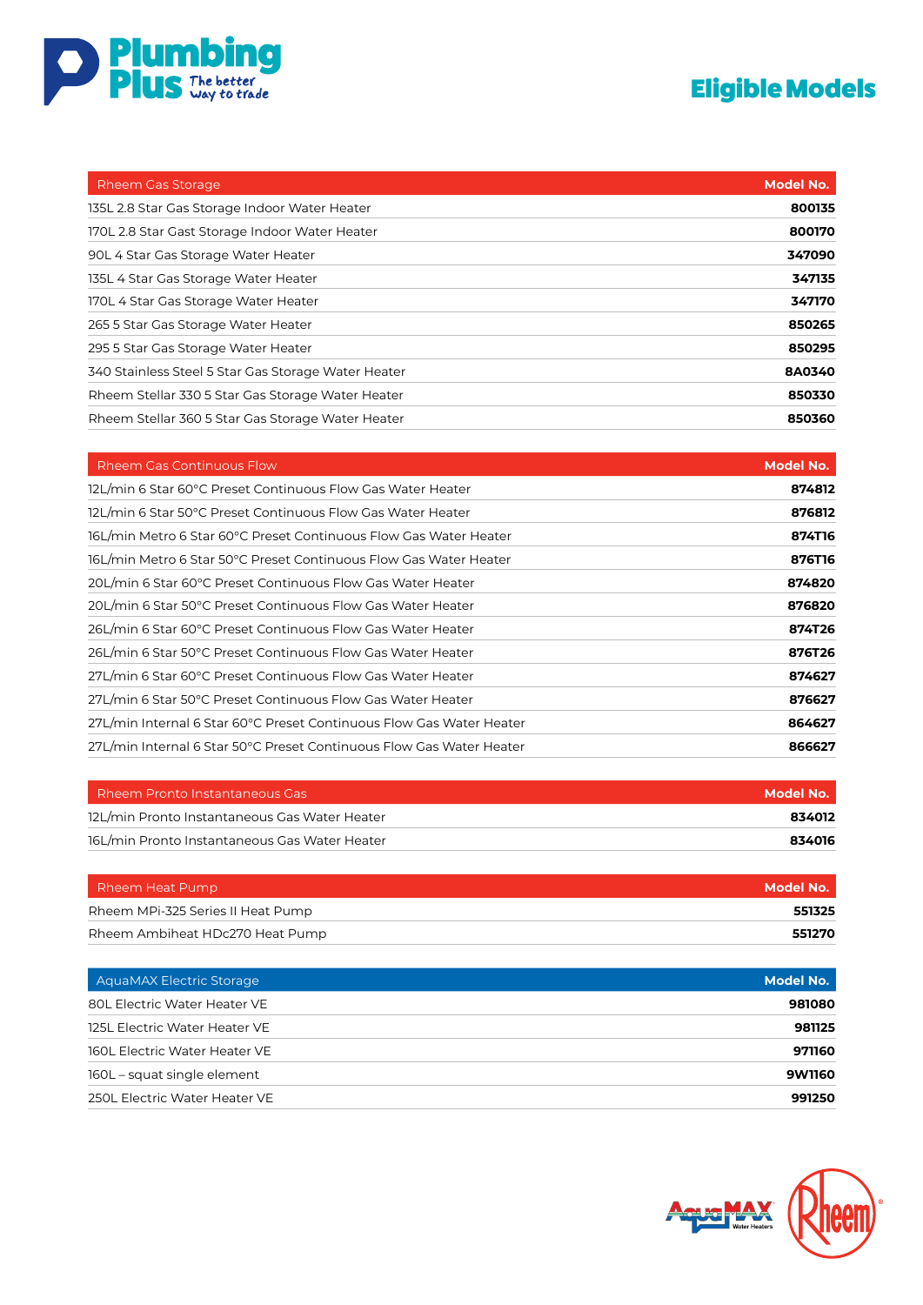

| <b>Rheem Gas Storage</b>                            | Model No. |
|-----------------------------------------------------|-----------|
| 135L 2.8 Star Gas Storage Indoor Water Heater       | 800135    |
| 170L 2.8 Star Gast Storage Indoor Water Heater      | 800170    |
| 90L 4 Star Gas Storage Water Heater                 | 347090    |
| 135L 4 Star Gas Storage Water Heater                | 347135    |
| 170L 4 Star Gas Storage Water Heater                | 347170    |
| 265 5 Star Gas Storage Water Heater                 | 850265    |
| 295 5 Star Gas Storage Water Heater                 | 850295    |
| 340 Stainless Steel 5 Star Gas Storage Water Heater | 8A0340    |
| Rheem Stellar 330 5 Star Gas Storage Water Heater   | 850330    |
| Rheem Stellar 360 5 Star Gas Storage Water Heater   | 850360    |

| <b>Rheem Gas Continuous Flow</b>                                     | <b>Model No.</b> |
|----------------------------------------------------------------------|------------------|
| 12L/min 6 Star 60°C Preset Continuous Flow Gas Water Heater          | 874812           |
| 12L/min 6 Star 50°C Preset Continuous Flow Gas Water Heater          | 876812           |
| 16L/min Metro 6 Star 60°C Preset Continuous Flow Gas Water Heater    | 874T16           |
| 16L/min Metro 6 Star 50°C Preset Continuous Flow Gas Water Heater    | 876T16           |
| 20L/min 6 Star 60°C Preset Continuous Flow Gas Water Heater          | 874820           |
| 20L/min 6 Star 50°C Preset Continuous Flow Gas Water Heater          | 876820           |
| 26L/min 6 Star 60°C Preset Continuous Flow Gas Water Heater          | 874T26           |
| 26L/min 6 Star 50°C Preset Continuous Flow Gas Water Heater          | 876T26           |
| 27L/min 6 Star 60°C Preset Continuous Flow Gas Water Heater          | 874627           |
| 27L/min 6 Star 50°C Preset Continuous Flow Gas Water Heater          | 876627           |
| 27L/min Internal 6 Star 60°C Preset Continuous Flow Gas Water Heater | 864627           |
| 27L/min Internal 6 Star 50°C Preset Continuous Flow Gas Water Heater | 866627           |

| Rheem Pronto Instantaneous Gas                | Model No. |
|-----------------------------------------------|-----------|
| 12L/min Pronto Instantaneous Gas Water Heater | 834012    |
| 16L/min Pronto Instantaneous Gas Water Heater | 834016    |

| Rheem Heat Pump                   | Model No. |
|-----------------------------------|-----------|
| Rheem MPi-325 Series II Heat Pump | 551325    |
| Rheem Ambiheat HDc270 Heat Pump   | 551270    |

| <b>AguaMAX Electric Storage</b> | <b>Model No.</b> |
|---------------------------------|------------------|
| 80L Electric Water Heater VE    | 981080           |
| 125L Electric Water Heater VE   | 981125           |
| 160L Electric Water Heater VE   | 971160           |
| 160L – squat single element     | 9W1160           |
| 250L Electric Water Heater VE   | 991250           |

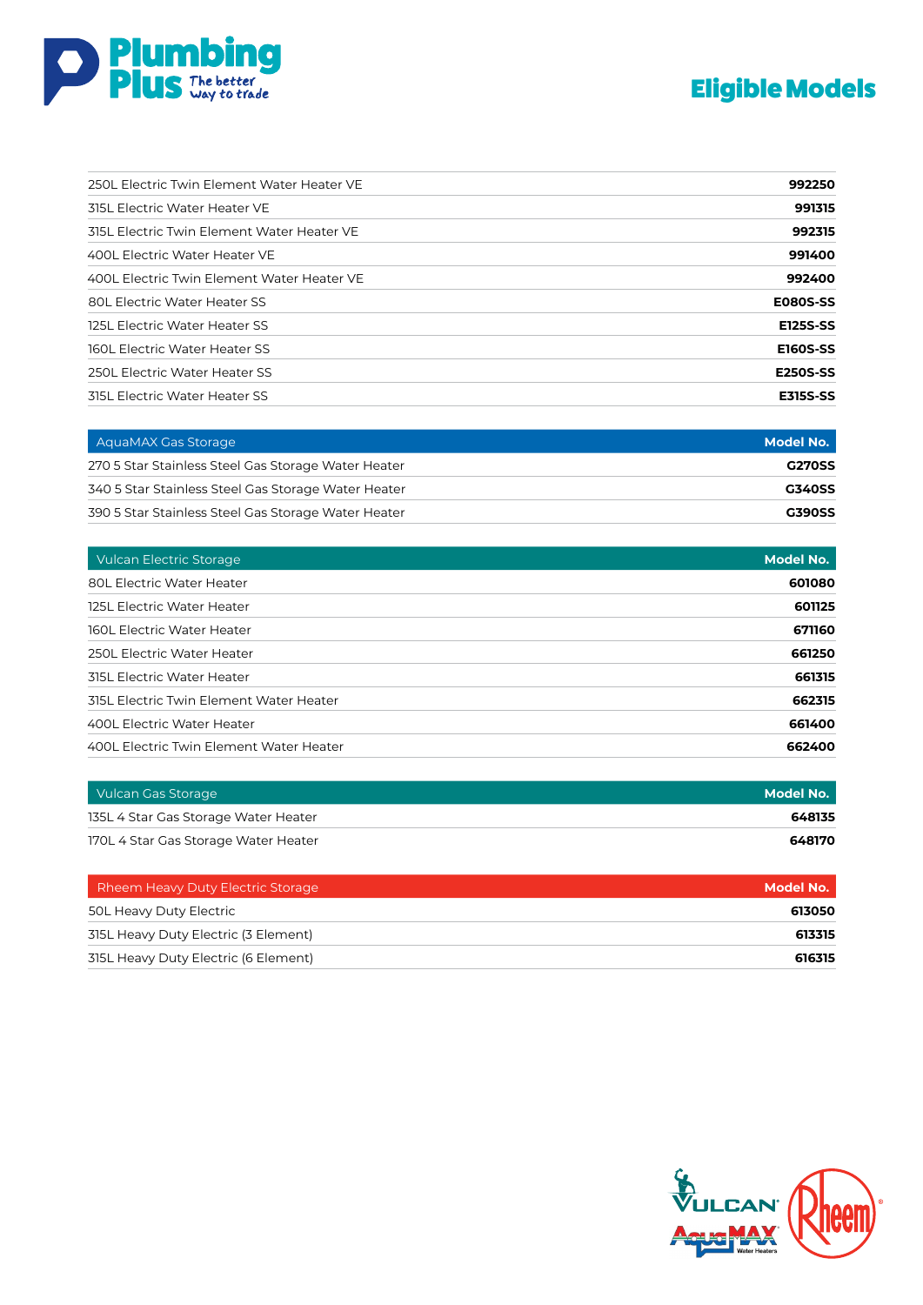

| 250L Electric Twin Element Water Heater VE | 992250          |
|--------------------------------------------|-----------------|
| 315L Electric Water Heater VE              | 991315          |
| 315L Electric Twin Element Water Heater VE | 992315          |
| 400L Electric Water Heater VE              | 991400          |
| 400L Electric Twin Element Water Heater VE | 992400          |
| <b>80L Electric Water Heater SS</b>        | <b>E080S-SS</b> |
| 125L Electric Water Heater SS              | <b>E125S-SS</b> |
| <b>160L Electric Water Heater SS</b>       | <b>E160S-SS</b> |
| 250L Electric Water Heater SS              | <b>E250S-SS</b> |
| <b>315L Electric Water Heater SS</b>       | <b>E315S-SS</b> |

| AquaMAX Gas Storage                                 | Model No.     |
|-----------------------------------------------------|---------------|
| 270 5 Star Stainless Steel Gas Storage Water Heater | <b>G270SS</b> |
| 340 5 Star Stainless Steel Gas Storage Water Heater | <b>G340SS</b> |
| 390 5 Star Stainless Steel Gas Storage Water Heater | <b>G390SS</b> |

| <b>Vulcan Electric Storage</b>          | Model No. |
|-----------------------------------------|-----------|
| <b>80L Electric Water Heater</b>        | 601080    |
| 125L Electric Water Heater              | 601125    |
| 160L Electric Water Heater              | 671160    |
| 250L Electric Water Heater              | 661250    |
| <b>315L Electric Water Heater</b>       | 661315    |
| 315L Electric Twin Element Water Heater | 662315    |
| 400L Electric Water Heater              | 661400    |
| 400L Electric Twin Element Water Heater | 662400    |

| Vulcan Gas Storage                   | Model No. |
|--------------------------------------|-----------|
| 135L 4 Star Gas Storage Water Heater | 648135    |
| 170L 4 Star Gas Storage Water Heater | 648170    |

| Rheem Heavy Duty Electric Storage    | Model No. |
|--------------------------------------|-----------|
| 50L Heavy Duty Electric              | 613050    |
| 315L Heavy Duty Electric (3 Element) | 613315    |
| 315L Heavy Duty Electric (6 Element) | 616315    |